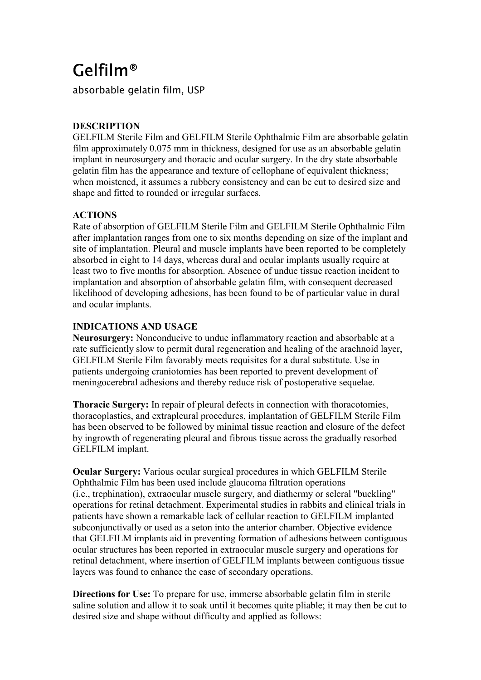# Gelfilm®

absorbable gelatin film, USP

## **DESCRIPTION**

GELFILM Sterile Film and GELFILM Sterile Ophthalmic Film are absorbable gelatin film approximately 0.075 mm in thickness, designed for use as an absorbable gelatin implant in neurosurgery and thoracic and ocular surgery. In the dry state absorbable gelatin film has the appearance and texture of cellophane of equivalent thickness; when moistened, it assumes a rubbery consistency and can be cut to desired size and shape and fitted to rounded or irregular surfaces.

## **ACTIONS**

Rate of absorption of GELFILM Sterile Film and GELFILM Sterile Ophthalmic Film after implantation ranges from one to six months depending on size of the implant and site of implantation. Pleural and muscle implants have been reported to be completely absorbed in eight to 14 days, whereas dural and ocular implants usually require at least two to five months for absorption. Absence of undue tissue reaction incident to implantation and absorption of absorbable gelatin film, with consequent decreased likelihood of developing adhesions, has been found to be of particular value in dural and ocular implants.

## **INDICATIONS AND USAGE**

**Neurosurgery:** Nonconducive to undue inflammatory reaction and absorbable at a rate sufficiently slow to permit dural regeneration and healing of the arachnoid layer, GELFILM Sterile Film favorably meets requisites for a dural substitute. Use in patients undergoing craniotomies has been reported to prevent development of meningocerebral adhesions and thereby reduce risk of postoperative sequelae.

**Thoracic Surgery:** In repair of pleural defects in connection with thoracotomies, thoracoplasties, and extrapleural procedures, implantation of GELFILM Sterile Film has been observed to be followed by minimal tissue reaction and closure of the defect by ingrowth of regenerating pleural and fibrous tissue across the gradually resorbed GELFILM implant.

**Ocular Surgery:** Various ocular surgical procedures in which GELFILM Sterile Ophthalmic Film has been used include glaucoma filtration operations (i.e., trephination), extraocular muscle surgery, and diathermy or scleral "buckling" operations for retinal detachment. Experimental studies in rabbits and clinical trials in patients have shown a remarkable lack of cellular reaction to GELFILM implanted subconjunctivally or used as a seton into the anterior chamber. Objective evidence that GELFILM implants aid in preventing formation of adhesions between contiguous ocular structures has been reported in extraocular muscle surgery and operations for retinal detachment, where insertion of GELFILM implants between contiguous tissue layers was found to enhance the ease of secondary operations.

**Directions for Use:** To prepare for use, immerse absorbable gelatin film in sterile saline solution and allow it to soak until it becomes quite pliable; it may then be cut to desired size and shape without difficulty and applied as follows: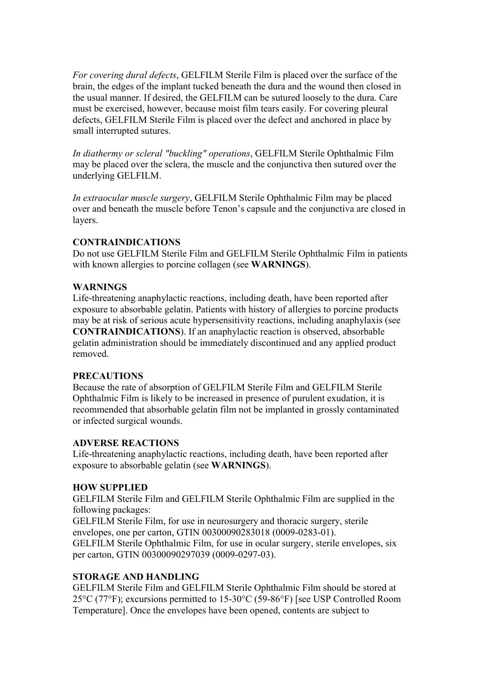*For covering dural defects*, GELFILM Sterile Film is placed over the surface of the brain, the edges of the implant tucked beneath the dura and the wound then closed in the usual manner. If desired, the GELFILM can be sutured loosely to the dura. Care must be exercised, however, because moist film tears easily. For covering pleural defects, GELFILM Sterile Film is placed over the defect and anchored in place by small interrupted sutures.

*In diathermy or scleral "buckling" operations*, GELFILM Sterile Ophthalmic Film may be placed over the sclera, the muscle and the conjunctiva then sutured over the underlying GELFILM.

*In extraocular muscle surgery*, GELFILM Sterile Ophthalmic Film may be placed over and beneath the muscle before Tenon's capsule and the conjunctiva are closed in layers.

#### **CONTRAINDICATIONS**

Do not use GELFILM Sterile Film and GELFILM Sterile Ophthalmic Film in patients with known allergies to porcine collagen (see **WARNINGS**).

#### **WARNINGS**

Life-threatening anaphylactic reactions, including death, have been reported after exposure to absorbable gelatin. Patients with history of allergies to porcine products may be at risk of serious acute hypersensitivity reactions, including anaphylaxis (see **CONTRAINDICATIONS**). If an anaphylactic reaction is observed, absorbable gelatin administration should be immediately discontinued and any applied product removed.

#### **PRECAUTIONS**

Because the rate of absorption of GELFILM Sterile Film and GELFILM Sterile Ophthalmic Film is likely to be increased in presence of purulent exudation, it is recommended that absorbable gelatin film not be implanted in grossly contaminated or infected surgical wounds.

#### **ADVERSE REACTIONS**

Life-threatening anaphylactic reactions, including death, have been reported after exposure to absorbable gelatin (see **WARNINGS**).

#### **HOW SUPPLIED**

GELFILM Sterile Film and GELFILM Sterile Ophthalmic Film are supplied in the following packages:

GELFILM Sterile Film, for use in neurosurgery and thoracic surgery, sterile envelopes, one per carton, GTIN 00300090283018 (0009-0283-01).

GELFILM Sterile Ophthalmic Film, for use in ocular surgery, sterile envelopes, six per carton, GTIN 00300090297039 (0009-0297-03).

#### **STORAGE AND HANDLING**

GELFILM Sterile Film and GELFILM Sterile Ophthalmic Film should be stored at 25°C (77°F); excursions permitted to 15-30°C (59-86°F) [see USP Controlled Room Temperature]. Once the envelopes have been opened, contents are subject to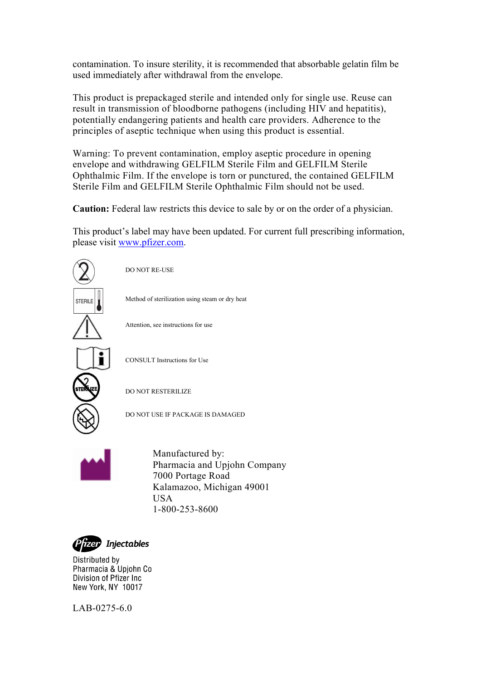contamination. To insure sterility, it is recommended that absorbable gelatin film be used immediately after withdrawal from the envelope.

This product is prepackaged sterile and intended only for single use. Reuse can result in transmission of bloodborne pathogens (including HIV and hepatitis), potentially endangering patients and health care providers. Adherence to the principles of aseptic technique when using this product is essential.

Warning: To prevent contamination, employ aseptic procedure in opening envelope and withdrawing GELFILM Sterile Film and GELFILM Sterile Ophthalmic Film. If the envelope is torn or punctured, the contained GELFILM Sterile Film and GELFILM Sterile Ophthalmic Film should not be used.

**Caution:** Federal law restricts this device to sale by or on the order of a physician.

This product's label may have been updated. For current full prescribing information, please visit [www.pfizer.com](http://www.pfizer.com/).



LAB-0275-6.0